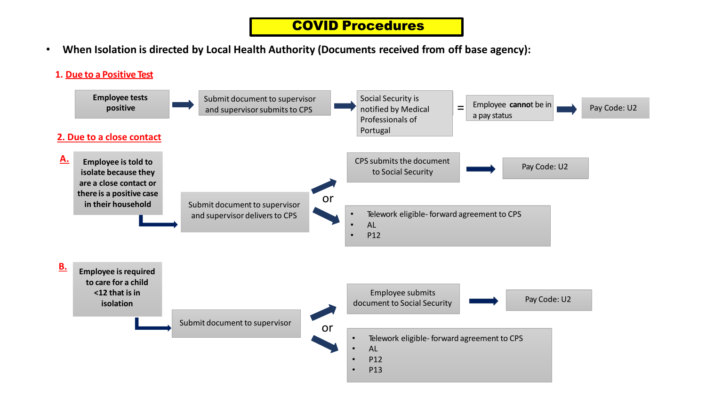# COVID Procedures

• **When Isolation is directed by Local Health Authority (Documents received from off base agency):**

### **1. Due to a Positive Test**

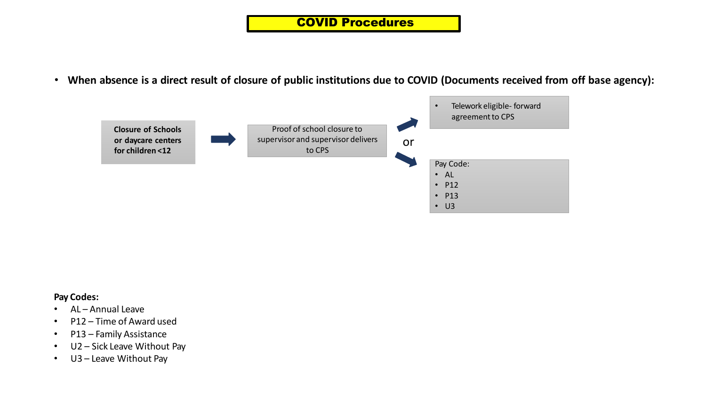• When absence is a direct result of closure of public institutions due to COVID (Documents received from off base agency):



### **Pay Codes:**

- AL Annual Leave
- P12 Time of Award used
- P13 Family Assistance
- U2 Sick Leave Without Pay
- U3 Leave Without Pay